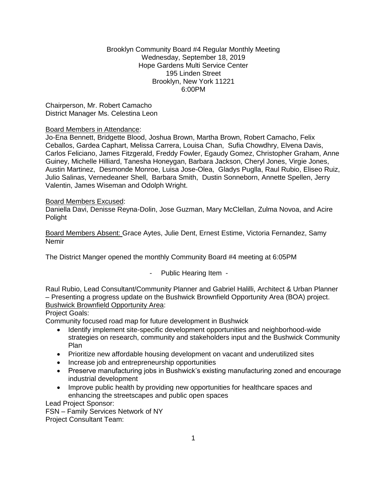#### Brooklyn Community Board #4 Regular Monthly Meeting Wednesday, September 18, 2019 Hope Gardens Multi Service Center 195 Linden Street Brooklyn, New York 11221 6:00PM

Chairperson, Mr. Robert Camacho District Manager Ms. Celestina Leon

#### Board Members in Attendance:

Jo-Ena Bennett, Bridgette Blood, Joshua Brown, Martha Brown, Robert Camacho, Felix Ceballos, Gardea Caphart, Melissa Carrera, Louisa Chan, Sufia Chowdhry, Elvena Davis, Carlos Feliciano, James Fitzgerald, Freddy Fowler, Egaudy Gomez, Christopher Graham, Anne Guiney, Michelle Hilliard, Tanesha Honeygan, Barbara Jackson, Cheryl Jones, Virgie Jones, Austin Martinez, Desmonde Monroe, Luisa Jose-Olea, Gladys Puglla, Raul Rubio, Eliseo Ruiz, Julio Salinas, Vernedeaner Shell, Barbara Smith, Dustin Sonneborn, Annette Spellen, Jerry Valentin, James Wiseman and Odolph Wright.

#### Board Members Excused:

Daniella Davi, Denisse Reyna-Dolin, Jose Guzman, Mary McClellan, Zulma Novoa, and Acire Polight

Board Members Absent: Grace Aytes, Julie Dent, Ernest Estime, Victoria Fernandez, Samy Nemir

The District Manger opened the monthly Community Board #4 meeting at 6:05PM

# - Public Hearing Item -

Raul Rubio, Lead Consultant/Community Planner and Gabriel Halilli, Architect & Urban Planner – Presenting a progress update on the Bushwick Brownfield Opportunity Area (BOA) project. **Bushwick Brownfield Opportunity Area:** 

# Project Goals:

Community focused road map for future development in Bushwick

- Identify implement site-specific development opportunities and neighborhood-wide strategies on research, community and stakeholders input and the Bushwick Community Plan
- Prioritize new affordable housing development on vacant and underutilized sites
- Increase job and entrepreneurship opportunities
- Preserve manufacturing jobs in Bushwick's existing manufacturing zoned and encourage industrial development
- Improve public health by providing new opportunities for healthcare spaces and enhancing the streetscapes and public open spaces

Lead Project Sponsor:

FSN – Family Services Network of NY

Project Consultant Team: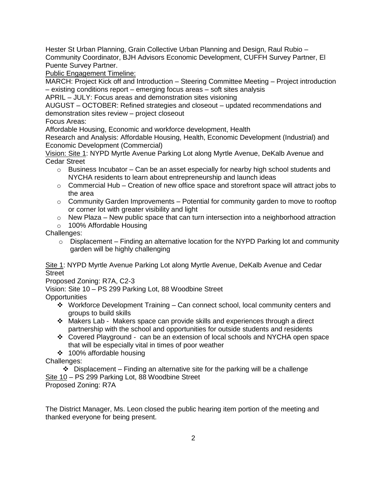Hester St Urban Planning, Grain Collective Urban Planning and Design, Raul Rubio – Community Coordinator, BJH Advisors Economic Development, CUFFH Survey Partner, El Puente Survey Partner.

Public Engagement Timeline:

MARCH: Project Kick off and Introduction – Steering Committee Meeting – Project introduction – existing conditions report – emerging focus areas – soft sites analysis

APRIL – JULY: Focus areas and demonstration sites visioning

AUGUST – OCTOBER: Refined strategies and closeout – updated recommendations and demonstration sites review – project closeout

Focus Areas:

Affordable Housing, Economic and workforce development, Health

Research and Analysis: Affordable Housing, Health, Economic Development (Industrial) and Economic Development (Commercial)

Vision: Site 1: NYPD Myrtle Avenue Parking Lot along Myrtle Avenue, DeKalb Avenue and Cedar Street

- $\circ$  Business Incubator Can be an asset especially for nearby high school students and NYCHA residents to learn about entrepreneurship and launch ideas
- $\circ$  Commercial Hub Creation of new office space and storefront space will attract jobs to the area
- $\circ$  Community Garden Improvements Potential for community garden to move to rooftop or corner lot with greater visibility and light
- $\circ$  New Plaza New public space that can turn intersection into a neighborhood attraction
- o 100% Affordable Housing

Challenges:

 $\circ$  Displacement – Finding an alternative location for the NYPD Parking lot and community garden will be highly challenging

Site 1: NYPD Myrtle Avenue Parking Lot along Myrtle Avenue, DeKalb Avenue and Cedar **Street** 

Proposed Zoning: R7A, C2-3

Vision: Site 10 – PS 299 Parking Lot, 88 Woodbine Street

**Opportunities** 

- ❖ Workforce Development Training Can connect school, local community centers and groups to build skills
- ❖ Makers Lab Makers space can provide skills and experiences through a direct partnership with the school and opportunities for outside students and residents
- ❖ Covered Playground can be an extension of local schools and NYCHA open space that will be especially vital in times of poor weather
- ❖ 100% affordable housing

Challenges:

 $\div$  Displacement – Finding an alternative site for the parking will be a challenge Site 10 – PS 299 Parking Lot, 88 Woodbine Street

Proposed Zoning: R7A

The District Manager, Ms. Leon closed the public hearing item portion of the meeting and thanked everyone for being present.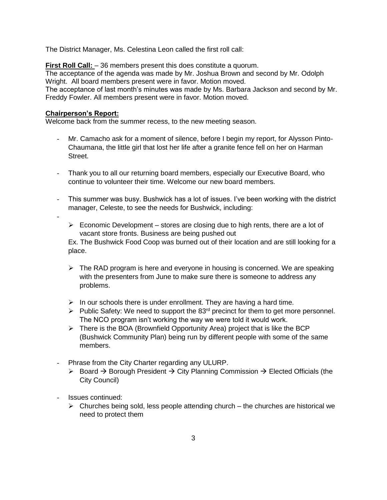The District Manager, Ms. Celestina Leon called the first roll call:

**First Roll Call:**  $-36$  members present this does constitute a quorum.

The acceptance of the agenda was made by Mr. Joshua Brown and second by Mr. Odolph Wright. All board members present were in favor. Motion moved.

The acceptance of last month's minutes was made by Ms. Barbara Jackson and second by Mr. Freddy Fowler. All members present were in favor. Motion moved.

#### **Chairperson's Report:**

Welcome back from the summer recess, to the new meeting season.

- Mr. Camacho ask for a moment of silence, before I begin my report, for Alysson Pinto-Chaumana, the little girl that lost her life after a granite fence fell on her on Harman Street.
- Thank you to all our returning board members, especially our Executive Board, who continue to volunteer their time. Welcome our new board members.
- This summer was busy. Bushwick has a lot of issues. I've been working with the district manager, Celeste, to see the needs for Bushwick, including:
- -
- $\triangleright$  Economic Development stores are closing due to high rents, there are a lot of vacant store fronts. Business are being pushed out

Ex. The Bushwick Food Coop was burned out of their location and are still looking for a place.

- $\triangleright$  The RAD program is here and everyone in housing is concerned. We are speaking with the presenters from June to make sure there is someone to address any problems.
- $\triangleright$  In our schools there is under enrollment. They are having a hard time.
- $\triangleright$  Public Safety: We need to support the 83<sup>rd</sup> precinct for them to get more personnel. The NCO program isn't working the way we were told it would work.
- $\triangleright$  There is the BOA (Brownfield Opportunity Area) project that is like the BCP (Bushwick Community Plan) being run by different people with some of the same members.
- Phrase from the City Charter regarding any ULURP.
	- > Board → Borough President → City Planning Commission → Elected Officials (the City Council)
- Issues continued:
	- $\triangleright$  Churches being sold, less people attending church the churches are historical we need to protect them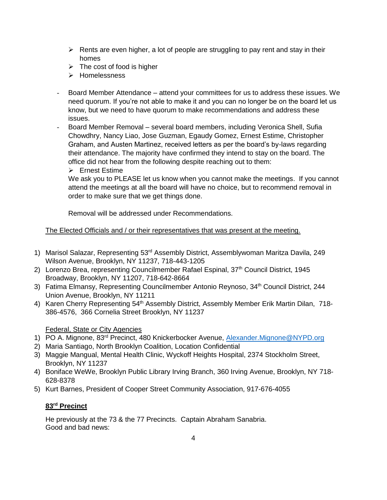- $\triangleright$  Rents are even higher, a lot of people are struggling to pay rent and stay in their homes
- $\triangleright$  The cost of food is higher
- ➢ Homelessness
- Board Member Attendance attend your committees for us to address these issues. We need quorum. If you're not able to make it and you can no longer be on the board let us know, but we need to have quorum to make recommendations and address these issues.
- Board Member Removal several board members, including Veronica Shell, Sufia Chowdhry, Nancy Liao, Jose Guzman, Egaudy Gomez, Ernest Estime, Christopher Graham, and Austen Martinez, received letters as per the board's by-laws regarding their attendance. The majority have confirmed they intend to stay on the board. The office did not hear from the following despite reaching out to them:

➢ Ernest Estime

We ask you to PLEASE let us know when you cannot make the meetings. If you cannot attend the meetings at all the board will have no choice, but to recommend removal in order to make sure that we get things done.

Removal will be addressed under Recommendations.

## The Elected Officials and / or their representatives that was present at the meeting.

- 1) Marisol Salazar, Representing 53<sup>rd</sup> Assembly District, Assemblywoman Maritza Davila, 249 Wilson Avenue, Brooklyn, NY 11237, 718-443-1205
- 2) Lorenzo Brea, representing Councilmember Rafael Espinal, 37<sup>th</sup> Council District, 1945 Broadway, Brooklyn, NY 11207, 718-642-8664
- 3) Fatima Elmansy, Representing Councilmember Antonio Reynoso, 34<sup>th</sup> Council District, 244 Union Avenue, Brooklyn, NY 11211
- 4) Karen Cherry Representing 54<sup>th</sup> Assembly District, Assembly Member Erik Martin Dilan, 718-386-4576, 366 Cornelia Street Brooklyn, NY 11237

## Federal, State or City Agencies

- 1) PO A. Mignone, 83rd Precinct, 480 Knickerbocker Avenue, [Alexander.Mignone@NYPD.org](mailto:Alexander.Mignone@NYPD.org)
- 2) Maria Santiago, North Brooklyn Coalition, Location Confidential
- 3) Maggie Mangual, Mental Health Clinic, Wyckoff Heights Hospital, 2374 Stockholm Street, Brooklyn, NY 11237
- 4) Boniface WeWe, Brooklyn Public Library Irving Branch, 360 Irving Avenue, Brooklyn, NY 718- 628-8378
- 5) Kurt Barnes, President of Cooper Street Community Association, 917-676-4055

## **83rd Precinct**

He previously at the 73 & the 77 Precincts. Captain Abraham Sanabria. Good and bad news: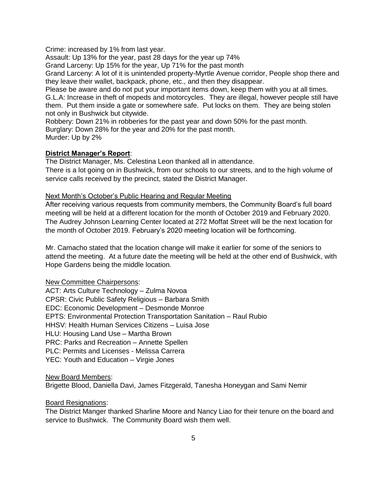Crime: increased by 1% from last year.

Assault: Up 13% for the year, past 28 days for the year up 74%

Grand Larceny: Up 15% for the year, Up 71% for the past month

Grand Larceny: A lot of it is unintended property-Myrtle Avenue corridor, People shop there and they leave their wallet, backpack, phone, etc., and then they disappear.

Please be aware and do not put your important items down, keep them with you at all times.

G.L.A: Increase in theft of mopeds and motorcycles. They are illegal, however people still have them. Put them inside a gate or somewhere safe. Put locks on them. They are being stolen not only in Bushwick but citywide.

Robbery: Down 21% in robberies for the past year and down 50% for the past month. Burglary: Down 28% for the year and 20% for the past month. Murder: Up by 2%

#### **District Manager's Report**:

The District Manager, Ms. Celestina Leon thanked all in attendance.

There is a lot going on in Bushwick, from our schools to our streets, and to the high volume of service calls received by the precinct, stated the District Manager.

#### Next Month's October's Public Hearing and Regular Meeting

After receiving various requests from community members, the Community Board's full board meeting will be held at a different location for the month of October 2019 and February 2020. The Audrey Johnson Learning Center located at 272 Moffat Street will be the next location for the month of October 2019. February's 2020 meeting location will be forthcoming.

Mr. Camacho stated that the location change will make it earlier for some of the seniors to attend the meeting. At a future date the meeting will be held at the other end of Bushwick, with Hope Gardens being the middle location.

New Committee Chairpersons:

ACT: Arts Culture Technology – Zulma Novoa CPSR: Civic Public Safety Religious – Barbara Smith EDC: Economic Development – Desmonde Monroe EPTS: Environmental Protection Transportation Sanitation – Raul Rubio HHSV: Health Human Services Citizens – Luisa Jose HLU: Housing Land Use – Martha Brown PRC: Parks and Recreation – Annette Spellen PLC: Permits and Licenses - Melissa Carrera YEC: Youth and Education – Virgie Jones

#### New Board Members: Brigette Blood, Daniella Davi, James Fitzgerald, Tanesha Honeygan and Sami Nemir

#### **Board Resignations:**

The District Manger thanked Sharline Moore and Nancy Liao for their tenure on the board and service to Bushwick. The Community Board wish them well.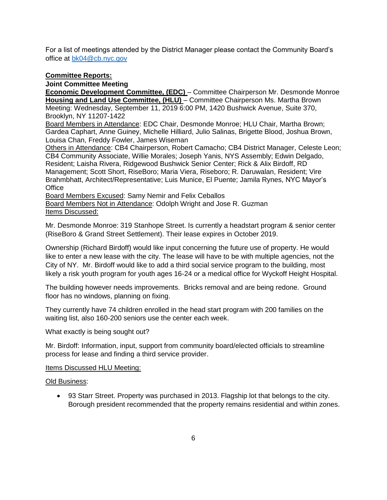For a list of meetings attended by the District Manager please contact the Community Board's office at [bk04@cb.nyc.gov](mailto:bk04@cb.nyc.gov) 

#### **Committee Reports:**

#### **Joint Committee Meeting**

**Economic Development Committee, (EDC)** – Committee Chairperson Mr. Desmonde Monroe **Housing and Land Use Committee, (HLU)** – Committee Chairperson Ms. Martha Brown Meeting: Wednesday, September 11, 2019 6:00 PM, 1420 Bushwick Avenue, Suite 370, Brooklyn, NY 11207-1422

Board Members in Attendance: EDC Chair, Desmonde Monroe; HLU Chair, Martha Brown; Gardea Caphart, Anne Guiney, Michelle Hilliard, Julio Salinas, Brigette Blood, Joshua Brown, Louisa Chan, Freddy Fowler, James Wiseman

Others in Attendance: CB4 Chairperson, Robert Camacho; CB4 District Manager, Celeste Leon; CB4 Community Associate, Willie Morales; Joseph Yanis, NYS Assembly; Edwin Delgado, Resident; Laisha Rivera, Ridgewood Bushwick Senior Center; Rick & Alix Birdoff, RD Management; Scott Short, RiseBoro; Maria Viera, Riseboro; R. Daruwalan, Resident; Vire Brahmbhatt, Architect/Representative; Luis Munice, El Puente; Jamila Rynes, NYC Mayor's **Office** 

Board Members Excused: Samy Nemir and Felix Ceballos Board Members Not in Attendance: Odolph Wright and Jose R. Guzman Items Discussed:

Mr. Desmonde Monroe: 319 Stanhope Street. Is currently a headstart program & senior center (RiseBoro & Grand Street Settlement). Their lease expires in October 2019.

Ownership (Richard Birdoff) would like input concerning the future use of property. He would like to enter a new lease with the city. The lease will have to be with multiple agencies, not the City of NY. Mr. Birdoff would like to add a third social service program to the building, most likely a risk youth program for youth ages 16-24 or a medical office for Wyckoff Height Hospital.

The building however needs improvements. Bricks removal and are being redone. Ground floor has no windows, planning on fixing.

They currently have 74 children enrolled in the head start program with 200 families on the waiting list, also 160-200 seniors use the center each week.

What exactly is being sought out?

Mr. Birdoff: Information, input, support from community board/elected officials to streamline process for lease and finding a third service provider.

Items Discussed HLU Meeting:

Old Business:

• 93 Starr Street. Property was purchased in 2013. Flagship lot that belongs to the city. Borough president recommended that the property remains residential and within zones.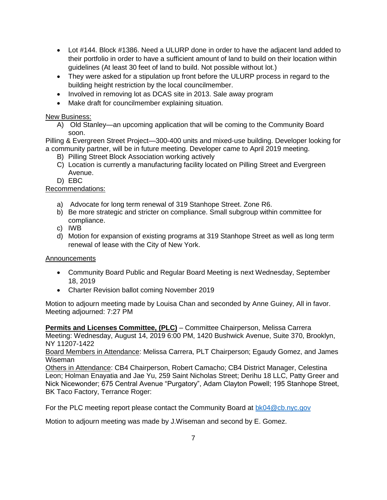- Lot #144. Block #1386. Need a ULURP done in order to have the adjacent land added to their portfolio in order to have a sufficient amount of land to build on their location within guidelines (At least 30 feet of land to build. Not possible without lot.)
- They were asked for a stipulation up front before the ULURP process in regard to the building height restriction by the local councilmember.
- Involved in removing lot as DCAS site in 2013. Sale away program
- Make draft for councilmember explaining situation.

## New Business:

A) Old Stanley—an upcoming application that will be coming to the Community Board soon.

Pilling & Evergreen Street Project—300-400 units and mixed-use building. Developer looking for a community partner, will be in future meeting. Developer came to April 2019 meeting.

- B) Pilling Street Block Association working actively
- C) Location is currently a manufacturing facility located on Pilling Street and Evergreen Avenue.
- D) EBC

## Recommendations:

- a) Advocate for long term renewal of 319 Stanhope Street. Zone R6.
- b) Be more strategic and stricter on compliance. Small subgroup within committee for compliance.
- c) IWB
- d) Motion for expansion of existing programs at 319 Stanhope Street as well as long term renewal of lease with the City of New York.

## Announcements

- Community Board Public and Regular Board Meeting is next Wednesday, September 18, 2019
- Charter Revision ballot coming November 2019

Motion to adjourn meeting made by Louisa Chan and seconded by Anne Guiney, All in favor. Meeting adjourned: 7:27 PM

**Permits and Licenses Committee, (PLC)** – Committee Chairperson, Melissa Carrera Meeting: Wednesday, August 14, 2019 6:00 PM, 1420 Bushwick Avenue, Suite 370, Brooklyn, NY 11207-1422

Board Members in Attendance: Melissa Carrera, PLT Chairperson; Egaudy Gomez, and James Wiseman

Others in Attendance: CB4 Chairperson, Robert Camacho; CB4 District Manager, Celestina Leon; Holman Enayatia and Jae Yu, 259 Saint Nicholas Street; Derihu 18 LLC, Patty Greer and Nick Nicewonder; 675 Central Avenue "Purgatory", Adam Clayton Powell; 195 Stanhope Street, BK Taco Factory, Terrance Roger:

For the PLC meeting report please contact the Community Board at [bk04@cb.nyc.gov](mailto:bk04@cb.nyc.gov)

Motion to adjourn meeting was made by J.Wiseman and second by E. Gomez.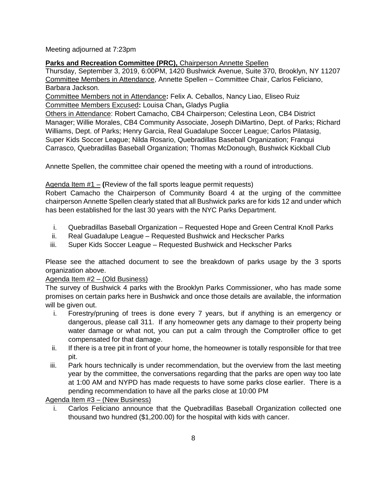Meeting adjourned at 7:23pm

## **Parks and Recreation Committee (PRC),** Chairperson Annette Spellen

Thursday, September 3, 2019, 6:00PM, 1420 Bushwick Avenue, Suite 370, Brooklyn, NY 11207 Committee Members in Attendance, Annette Spellen – Committee Chair, Carlos Feliciano, Barbara Jackson.

Committee Members not in Attendance**:** Felix A. Ceballos, Nancy Liao, Eliseo Ruiz Committee Members Excused**:** Louisa Chan**,** Gladys Puglia

Others in Attendance: Robert Camacho, CB4 Chairperson; Celestina Leon, CB4 District Manager; Willie Morales, CB4 Community Associate, Joseph DiMartino, Dept. of Parks; Richard Williams, Dept. of Parks; Henry Garcia, Real Guadalupe Soccer League; Carlos Pilatasig, Super Kids Soccer League; Nilda Rosario, Quebradillas Baseball Organization; Franqui Carrasco, Quebradillas Baseball Organization; Thomas McDonough, Bushwick Kickball Club

Annette Spellen, the committee chair opened the meeting with a round of introductions.

## Agenda Item #1 – **(**Review of the fall sports league permit requests)

Robert Camacho the Chairperson of Community Board 4 at the urging of the committee chairperson Annette Spellen clearly stated that all Bushwick parks are for kids 12 and under which has been established for the last 30 years with the NYC Parks Department.

- i. Quebradillas Baseball Organization Requested Hope and Green Central Knoll Parks
- ii. Real Guadalupe League Requested Bushwick and Heckscher Parks
- iii. Super Kids Soccer League Requested Bushwick and Heckscher Parks

Please see the attached document to see the breakdown of parks usage by the 3 sports organization above.

# Agenda Item #2 – (Old Business)

The survey of Bushwick 4 parks with the Brooklyn Parks Commissioner, who has made some promises on certain parks here in Bushwick and once those details are available, the information will be given out.

- i. Forestry/pruning of trees is done every 7 years, but if anything is an emergency or dangerous, please call 311. If any homeowner gets any damage to their property being water damage or what not, you can put a calm through the Comptroller office to get compensated for that damage.
- ii. If there is a tree pit in front of your home, the homeowner is totally responsible for that tree pit.
- iii. Park hours technically is under recommendation, but the overview from the last meeting year by the committee, the conversations regarding that the parks are open way too late at 1:00 AM and NYPD has made requests to have some parks close earlier. There is a pending recommendation to have all the parks close at 10:00 PM

Agenda Item #3 – (New Business)

i. Carlos Feliciano announce that the Quebradillas Baseball Organization collected one thousand two hundred (\$1,200.00) for the hospital with kids with cancer.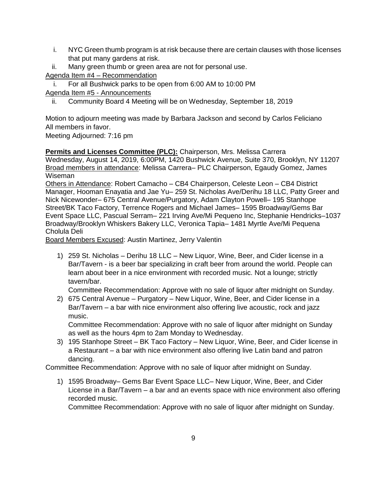- i. NYC Green thumb program is at risk because there are certain clauses with those licenses that put many gardens at risk.
- ii. Many green thumb or green area are not for personal use.

Agenda Item #4 – Recommendation

i. For all Bushwick parks to be open from 6:00 AM to 10:00 PM

Agenda Item #5 - Announcements

ii. Community Board 4 Meeting will be on Wednesday, September 18, 2019

Motion to adjourn meeting was made by Barbara Jackson and second by Carlos Feliciano All members in favor.

Meeting Adjourned: 7:16 pm

**Permits and Licenses Committee (PLC):** Chairperson, Mrs. Melissa Carrera

Wednesday, August 14, 2019, 6:00PM, 1420 Bushwick Avenue, Suite 370, Brooklyn, NY 11207 Broad members in attendance: Melissa Carrera– PLC Chairperson, Egaudy Gomez, James Wiseman

Others in Attendance: Robert Camacho – CB4 Chairperson, Celeste Leon – CB4 District Manager, Hooman Enayatia and Jae Yu– 259 St. Nicholas Ave/Derihu 18 LLC, Patty Greer and Nick Nicewonder– 675 Central Avenue/Purgatory, Adam Clayton Powell– 195 Stanhope Street/BK Taco Factory, Terrence Rogers and Michael James– 1595 Broadway/Gems Bar Event Space LLC, Pascual Serram– 221 Irving Ave/Mi Pequeno Inc, Stephanie Hendricks–1037 Broadway/Brooklyn Whiskers Bakery LLC, Veronica Tapia– 1481 Myrtle Ave/Mi Pequena Cholula Deli

Board Members Excused: Austin Martinez, Jerry Valentin

1) 259 St. Nicholas – Derihu 18 LLC – New Liquor, Wine, Beer, and Cider license in a Bar/Tavern - is a beer bar specializing in craft beer from around the world. People can learn about beer in a nice environment with recorded music. Not a lounge; strictly tavern/bar.

Committee Recommendation: Approve with no sale of liquor after midnight on Sunday.

2) 675 Central Avenue – Purgatory – New Liquor, Wine, Beer, and Cider license in a Bar/Tavern – a bar with nice environment also offering live acoustic, rock and jazz music.

Committee Recommendation: Approve with no sale of liquor after midnight on Sunday as well as the hours 4pm to 2am Monday to Wednesday.

3) 195 Stanhope Street – BK Taco Factory – New Liquor, Wine, Beer, and Cider license in a Restaurant – a bar with nice environment also offering live Latin band and patron dancing.

Committee Recommendation: Approve with no sale of liquor after midnight on Sunday.

1) 1595 Broadway– Gems Bar Event Space LLC– New Liquor, Wine, Beer, and Cider License in a Bar/Tavern – a bar and an events space with nice environment also offering recorded music.

Committee Recommendation: Approve with no sale of liquor after midnight on Sunday.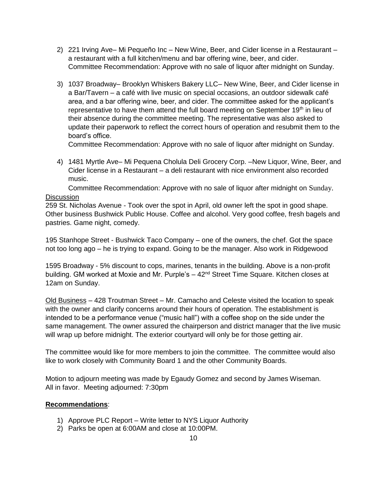- 2) 221 Irving Ave– Mi Pequeño Inc New Wine, Beer, and Cider license in a Restaurant a restaurant with a full kitchen/menu and bar offering wine, beer, and cider. Committee Recommendation: Approve with no sale of liquor after midnight on Sunday.
- 3) 1037 Broadway– Brooklyn Whiskers Bakery LLC– New Wine, Beer, and Cider license in a Bar/Tavern – a café with live music on special occasions, an outdoor sidewalk café area, and a bar offering wine, beer, and cider. The committee asked for the applicant's representative to have them attend the full board meeting on September 19<sup>th</sup> in lieu of their absence during the committee meeting. The representative was also asked to update their paperwork to reflect the correct hours of operation and resubmit them to the board's office.

Committee Recommendation: Approve with no sale of liquor after midnight on Sunday.

4) 1481 Myrtle Ave– Mi Pequena Cholula Deli Grocery Corp. –New Liquor, Wine, Beer, and Cider license in a Restaurant – a deli restaurant with nice environment also recorded music.

Committee Recommendation: Approve with no sale of liquor after midnight on Sunday. **Discussion** 

259 St. Nicholas Avenue - Took over the spot in April, old owner left the spot in good shape. Other business Bushwick Public House. Coffee and alcohol. Very good coffee, fresh bagels and pastries. Game night, comedy.

195 Stanhope Street - Bushwick Taco Company – one of the owners, the chef. Got the space not too long ago – he is trying to expand. Going to be the manager. Also work in Ridgewood

1595 Broadway - 5% discount to cops, marines, tenants in the building. Above is a non-profit building. GM worked at Moxie and Mr. Purple's - 42<sup>nd</sup> Street Time Square. Kitchen closes at 12am on Sunday.

Old Business – 428 Troutman Street – Mr. Camacho and Celeste visited the location to speak with the owner and clarify concerns around their hours of operation. The establishment is intended to be a performance venue ("music hall") with a coffee shop on the side under the same management. The owner assured the chairperson and district manager that the live music will wrap up before midnight. The exterior courtyard will only be for those getting air.

The committee would like for more members to join the committee. The committee would also like to work closely with Community Board 1 and the other Community Boards.

Motion to adjourn meeting was made by Egaudy Gomez and second by James Wiseman. All in favor. Meeting adjourned: 7:30pm

#### **Recommendations**:

- 1) Approve PLC Report Write letter to NYS Liquor Authority
- 2) Parks be open at 6:00AM and close at 10:00PM.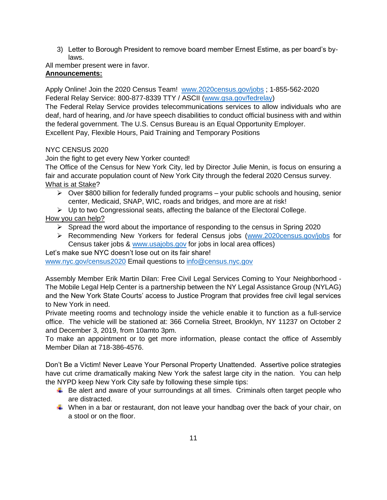3) Letter to Borough President to remove board member Ernest Estime, as per board's bylaws.

All member present were in favor. **Announcements:** 

Apply Online! Join the 2020 Census Team! [www.2020census.gov/jobs](http://www.2020census.gov/jobs) ; 1-855-562-2020 Federal Relay Service: 800-877-8339 TTY / ASCII [\(www.gsa.gov/fedrelay\)](http://www.gsa.gov/fedrelay)

The Federal Relay Service provides telecommunications services to allow individuals who are deaf, hard of hearing, and /or have speech disabilities to conduct official business with and within the federal government. The U.S. Census Bureau is an Equal Opportunity Employer. Excellent Pay, Flexible Hours, Paid Training and Temporary Positions

## NYC CENSUS 2020

Join the fight to get every New Yorker counted!

The Office of the Census for New York City, led by Director Julie Menin, is focus on ensuring a fair and accurate population count of New York City through the federal 2020 Census survey. What is at Stake?

- ➢ Over \$800 billion for federally funded programs your public schools and housing, senior center, Medicaid, SNAP, WIC, roads and bridges, and more are at risk!
- $\triangleright$  Up to two Congressional seats, affecting the balance of the Electoral College.

## How you can help?

- $\triangleright$  Spread the word about the importance of responding to the census in Spring 2020
- ➢ Recommending New Yorkers for federal Census jobs [\(www.2020census.gov/jobs](http://www.2020census.gov/jobs) for Census taker jobs & [www.usajobs.gov](http://www.usajobs.gov/) for jobs in local area offices)

Let's make sue NYC doesn't lose out on its fair share!

[www.nyc.gov/census2020](http://www.nyc.gov/census2020) Email questions to [info@census.nyc.gov](mailto:info@census.nyc.gov) 

Assembly Member Erik Martin Dilan: Free Civil Legal Services Coming to Your Neighborhood - The Mobile Legal Help Center is a partnership between the NY Legal Assistance Group (NYLAG) and the New York State Courts' access to Justice Program that provides free civil legal services to New York in need.

Private meeting rooms and technology inside the vehicle enable it to function as a full-service office. The vehicle will be stationed at: 366 Cornelia Street, Brooklyn, NY 11237 on October 2 and December 3, 2019, from 10amto 3pm.

To make an appointment or to get more information, please contact the office of Assembly Member Dilan at 718-386-4576.

Don't Be a Victim! Never Leave Your Personal Property Unattended. Assertive police strategies have cut crime dramatically making New York the safest large city in the nation. You can help the NYPD keep New York City safe by following these simple tips:

- $\ddot{\bullet}$  Be alert and aware of your surroundings at all times. Criminals often target people who are distracted.
- When in a bar or restaurant, don not leave your handbag over the back of your chair, on a stool or on the floor.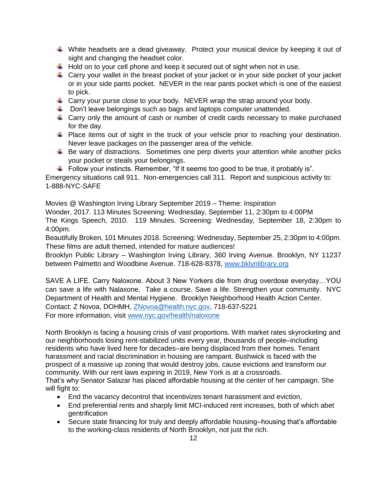- White headsets are a dead giveaway. Protect your musical device by keeping it out of sight and changing the headset color.
- $\ddot{\phantom{1}}$  Hold on to your cell phone and keep it secured out of sight when not in use.
- $\downarrow$  Carry your wallet in the breast pocket of your jacket or in your side pocket of your jacket or in your side pants pocket. NEVER in the rear pants pocket which is one of the easiest to pick.
- $\downarrow$  Carry your purse close to your body. NEVER wrap the strap around your body.
- $\downarrow$  Don't leave belongings such as bags and laptops computer unattended.
- $\downarrow$  Carry only the amount of cash or number of credit cards necessary to make purchased for the day.
- $\downarrow$  Place items out of sight in the truck of your vehicle prior to reaching your destination. Never leave packages on the passenger area of the vehicle.
- $\downarrow$  Be wary of distractions. Sometimes one perp diverts your attention while another picks your pocket or steals your belongings.
- $\ddot{\bullet}$  Follow your instincts. Remember, "If it seems too good to be true, it probably is".

Emergency situations call 911. Non-emergencies call 311. Report and suspicious activity to: 1-888-NYC-SAFE

Movies @ Washington Irving Library September 2019 – Theme: Inspiration

Wonder, 2017. 113 Minutes Screening: Wednesday, September 11, 2:30pm to 4:00PM The Kings Speech, 2010. 119 Minutes. Screening: Wednesday, September 18, 2:30pm to 4:00pm.

Beautifully Broken, 101 Minutes 2018. Screening: Wednesday, September 25, 2:30pm to 4:00pm. These films are adult themed, intended for mature audiences!

Brooklyn Public Library – Washington Irving Library, 360 Irving Avenue. Brooklyn, NY 11237 between Palmetto and Woodbine Avenue. 718-628-8378, [www.bklynlibrary.org](http://www.bklynlibrary.org/)

SAVE A LIFE. Carry Naloxone. About 3 New Yorkers die from drug overdose everyday…YOU can save a life with Nalaxone. Take a course. Save a life. Strengthen your community. NYC Department of Health and Mental Hygiene. Brooklyn Neighborhood Health Action Center. Contact: Z Novoa, DOHMH, [ZNovoa@health.nyc.gov,](mailto:ZNovoa@health.nyc.gov) 718-637-5221 For more information, visit [www.nyc.gov/health/naloxone](http://www.nyc.gov/health/naloxone) 

North Brooklyn is facing a housing crisis of vast proportions. With market rates skyrocketing and our neighborhoods losing rent-stabilized units every year, thousands of people–including residents who have lived here for decades–are being displaced from their homes. Tenant harassment and racial discrimination in housing are rampant. Bushwick is faced with the prospect of a massive up zoning that would destroy jobs, cause evictions and transform our community. With our rent laws expiring in 2019, New York is at a crossroads.

That's why Senator Salazar has placed affordable housing at the center of her campaign. She will fight to:

- End the vacancy decontrol that incentivizes tenant harassment and eviction,
- End preferential rents and sharply limit MCI-induced rent increases, both of which abet gentrification
- Secure state financing for truly and deeply affordable housing–housing that's affordable to the working-class residents of North Brooklyn, not just the rich.